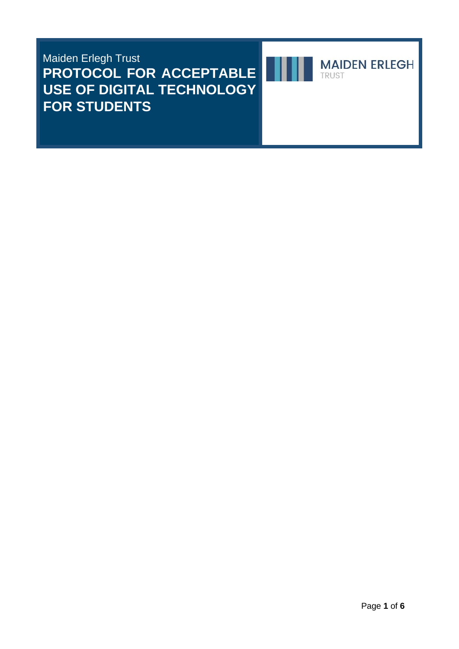Maiden Erlegh Trust **PROTOCOL FOR ACCEPTABLE USE OF DIGITAL TECHNOLOGY FOR STUDENTS**



**MAIDEN ERLEGH** TRUST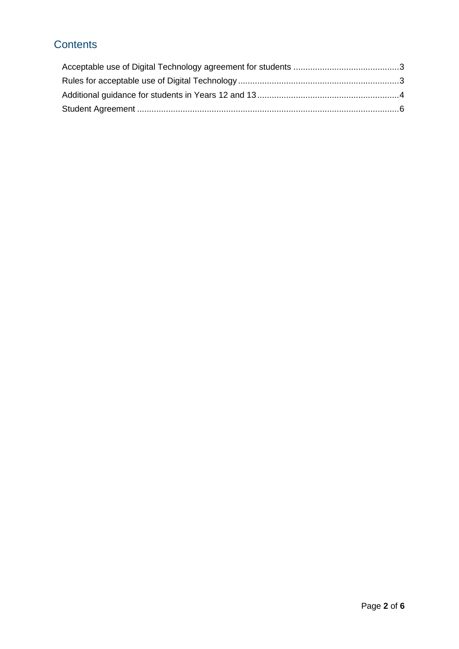## **Contents**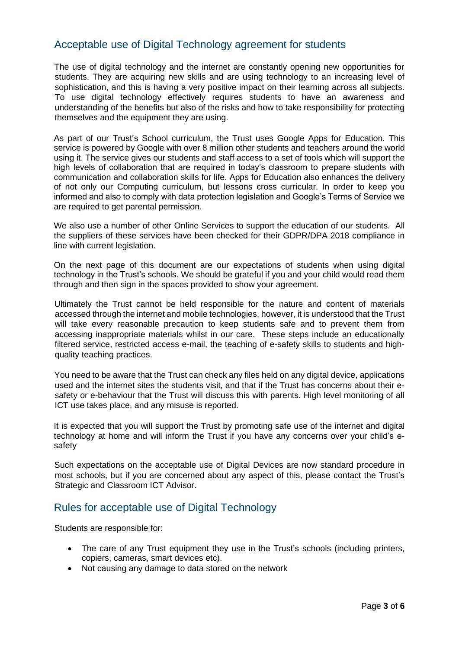### <span id="page-2-0"></span>Acceptable use of Digital Technology agreement for students

The use of digital technology and the internet are constantly opening new opportunities for students. They are acquiring new skills and are using technology to an increasing level of sophistication, and this is having a very positive impact on their learning across all subjects. To use digital technology effectively requires students to have an awareness and understanding of the benefits but also of the risks and how to take responsibility for protecting themselves and the equipment they are using.

As part of our Trust's School curriculum, the Trust uses Google Apps for Education. This service is powered by Google with over 8 million other students and teachers around the world using it. The service gives our students and staff access to a set of tools which will support the high levels of collaboration that are required in today's classroom to prepare students with communication and collaboration skills for life. Apps for Education also enhances the delivery of not only our Computing curriculum, but lessons cross curricular. In order to keep you informed and also to comply with data protection legislation and Google's Terms of Service we are required to get parental permission.

We also use a number of other Online Services to support the education of our students. All the suppliers of these services have been checked for their GDPR/DPA 2018 compliance in line with current legislation.

On the next page of this document are our expectations of students when using digital technology in the Trust's schools. We should be grateful if you and your child would read them through and then sign in the spaces provided to show your agreement.

Ultimately the Trust cannot be held responsible for the nature and content of materials accessed through the internet and mobile technologies, however, it is understood that the Trust will take every reasonable precaution to keep students safe and to prevent them from accessing inappropriate materials whilst in our care. These steps include an educationally filtered service, restricted access e-mail, the teaching of e-safety skills to students and highquality teaching practices.

You need to be aware that the Trust can check any files held on any digital device, applications used and the internet sites the students visit, and that if the Trust has concerns about their esafety or e-behaviour that the Trust will discuss this with parents. High level monitoring of all ICT use takes place, and any misuse is reported.

It is expected that you will support the Trust by promoting safe use of the internet and digital technology at home and will inform the Trust if you have any concerns over your child's esafety

Such expectations on the acceptable use of Digital Devices are now standard procedure in most schools, but if you are concerned about any aspect of this, please contact the Trust's Strategic and Classroom ICT Advisor.

### <span id="page-2-1"></span>Rules for acceptable use of Digital Technology

Students are responsible for:

- The care of any Trust equipment they use in the Trust's schools (including printers, copiers, cameras, smart devices etc).
- Not causing any damage to data stored on the network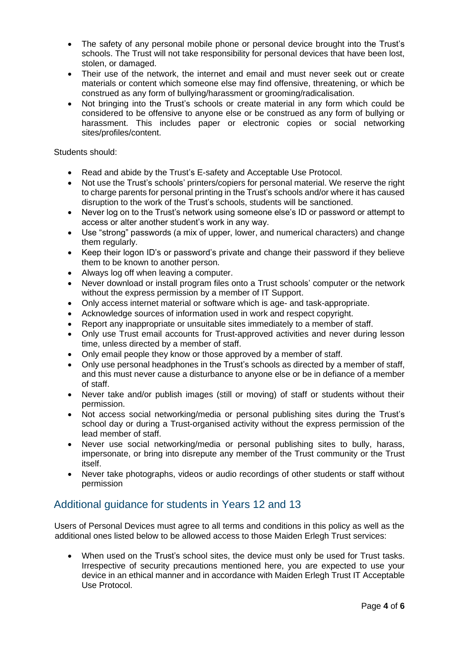- The safety of any personal mobile phone or personal device brought into the Trust's schools. The Trust will not take responsibility for personal devices that have been lost, stolen, or damaged.
- Their use of the network, the internet and email and must never seek out or create materials or content which someone else may find offensive, threatening, or which be construed as any form of bullying/harassment or grooming/radicalisation.
- Not bringing into the Trust's schools or create material in any form which could be considered to be offensive to anyone else or be construed as any form of bullying or harassment. This includes paper or electronic copies or social networking sites/profiles/content.

Students should:

- Read and abide by the Trust's E-safety and Acceptable Use Protocol.
- Not use the Trust's schools' printers/copiers for personal material. We reserve the right to charge parents for personal printing in the Trust's schools and/or where it has caused disruption to the work of the Trust's schools, students will be sanctioned.
- Never log on to the Trust's network using someone else's ID or password or attempt to access or alter another student's work in any way.
- Use "strong" passwords (a mix of upper, lower, and numerical characters) and change them regularly.
- Keep their logon ID's or password's private and change their password if they believe them to be known to another person.
- Always log off when leaving a computer.
- Never download or install program files onto a Trust schools' computer or the network without the express permission by a member of IT Support.
- Only access internet material or software which is age- and task-appropriate.
- Acknowledge sources of information used in work and respect copyright.
- Report any inappropriate or unsuitable sites immediately to a member of staff.
- Only use Trust email accounts for Trust-approved activities and never during lesson time, unless directed by a member of staff.
- Only email people they know or those approved by a member of staff.
- Only use personal headphones in the Trust's schools as directed by a member of staff, and this must never cause a disturbance to anyone else or be in defiance of a member of staff.
- Never take and/or publish images (still or moving) of staff or students without their permission.
- Not access social networking/media or personal publishing sites during the Trust's school day or during a Trust-organised activity without the express permission of the lead member of staff.
- Never use social networking/media or personal publishing sites to bully, harass, impersonate, or bring into disrepute any member of the Trust community or the Trust itself.
- Never take photographs, videos or audio recordings of other students or staff without permission

### <span id="page-3-0"></span>Additional guidance for students in Years 12 and 13

Users of Personal Devices must agree to all terms and conditions in this policy as well as the additional ones listed below to be allowed access to those Maiden Erlegh Trust services:

When used on the Trust's school sites, the device must only be used for Trust tasks. Irrespective of security precautions mentioned here, you are expected to use your device in an ethical manner and in accordance with Maiden Erlegh Trust IT Acceptable Use Protocol.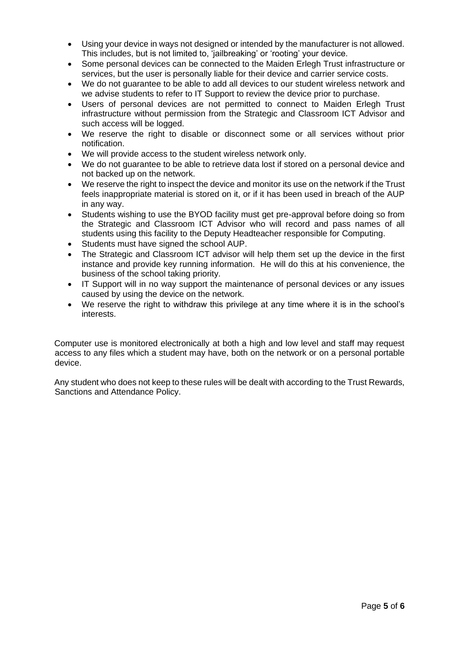- Using your device in ways not designed or intended by the manufacturer is not allowed. This includes, but is not limited to, 'jailbreaking' or 'rooting' your device.
- Some personal devices can be connected to the Maiden Erlegh Trust infrastructure or services, but the user is personally liable for their device and carrier service costs.
- We do not guarantee to be able to add all devices to our student wireless network and we advise students to refer to IT Support to review the device prior to purchase.
- Users of personal devices are not permitted to connect to Maiden Erlegh Trust infrastructure without permission from the Strategic and Classroom ICT Advisor and such access will be logged.
- We reserve the right to disable or disconnect some or all services without prior notification.
- We will provide access to the student wireless network only.
- We do not guarantee to be able to retrieve data lost if stored on a personal device and not backed up on the network.
- We reserve the right to inspect the device and monitor its use on the network if the Trust feels inappropriate material is stored on it, or if it has been used in breach of the AUP in any way.
- Students wishing to use the BYOD facility must get pre-approval before doing so from the Strategic and Classroom ICT Advisor who will record and pass names of all students using this facility to the Deputy Headteacher responsible for Computing.
- Students must have signed the school AUP.
- The Strategic and Classroom ICT advisor will help them set up the device in the first instance and provide key running information. He will do this at his convenience, the business of the school taking priority.
- IT Support will in no way support the maintenance of personal devices or any issues caused by using the device on the network.
- We reserve the right to withdraw this privilege at any time where it is in the school's interests.

Computer use is monitored electronically at both a high and low level and staff may request access to any files which a student may have, both on the network or on a personal portable device.

Any student who does not keep to these rules will be dealt with according to the Trust Rewards, Sanctions and Attendance Policy.